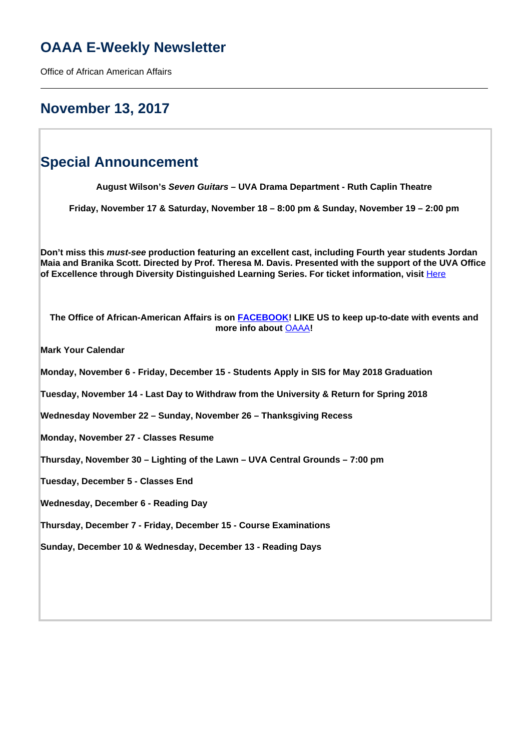# **OAAA E-Weekly Newsletter**

Office of African American Affairs

# **November 13, 2017**

# **Special Announcement**

**August Wilson's Seven Guitars – UVA Drama Department - Ruth Caplin Theatre**

**Friday, November 17 & Saturday, November 18 – 8:00 pm & Sunday, November 19 – 2:00 pm**

**Don't miss this must-see production featuring an excellent cast, including Fourth year students Jordan Maia and Branika Scott. Directed by Prof. Theresa M. Davis. Presented with the support of the UVA Office** of Excellence through Diversity Distinguished Learning Series. For ticket information, visit **[Here](http://tickets.artsboxoffice.virginia.edu/single/PSDetail.aspx?psn=6615)** 

**The Office of African-American Affairs is on FACEBOOK! LIKE US to keep up-to-date with events and more info about** OAAA**!**

**Mark Your Calendar**

**Monday, November 6 - Friday, December 15 - Students Apply in SIS for May 2018 Graduation**

**Tuesday, November 14 - Last Day to Withdraw from the University & Return for Spring 2018**

**Wednesday November 22 – Sunday, November 26 – Thanksgiving Recess**

**Monday, November 27 - Classes Resume**

**Thursday, November 30 – Lighting of the Lawn – UVA Central Grounds – 7:00 pm**

**Tuesday, December 5 - Classes End**

**Wednesday, December 6 - Reading Day**

**Thursday, December 7 - Friday, December 15 - Course Examinations**

**Sunday, December 10 & Wednesday, December 13 - Reading Days**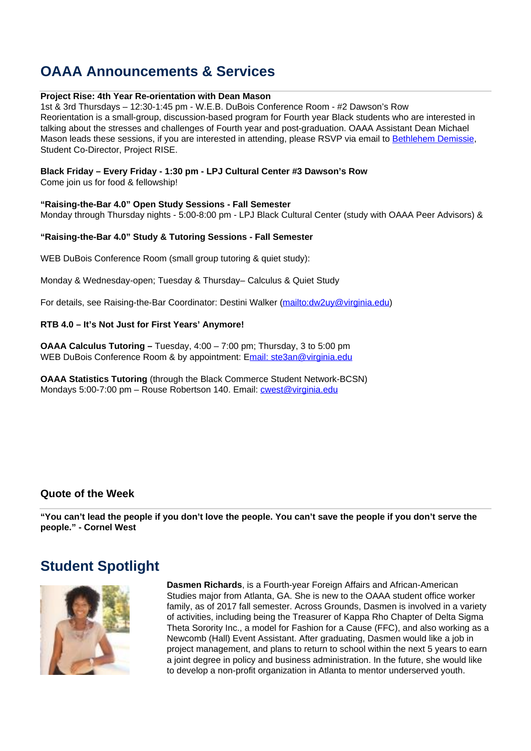# **OAAA Announcements & Services**

## **Project Rise: 4th Year Re-orientation with Dean Mason**

1st & 3rd Thursdays – 12:30-1:45 pm - W.E.B. DuBois Conference Room - #2 Dawson's Row Reorientation is a small-group, discussion-based program for Fourth year Black students who are interested in talking about the stresses and challenges of Fourth year and post-graduation. OAAA Assistant Dean Michael Mason leads these sessions, if you are interested in attending, please RSVP via email to Bethlehem Demissie, Student Co-Director, Project RISE.

## **Black Friday – Every Friday - 1:30 pm - LPJ Cultural Center #3 Dawson's Row**

Come join us for food & fellowship!

## **"Raising-the-Bar 4.0" Open Study Sessions - Fall Semester**

Monday through Thursday nights - 5:00-8:00 pm - LPJ Black Cultural Center (study with OAAA Peer Advisors) &

### **"Raising-the-Bar 4.0" Study & Tutoring Sessions - Fall Semester**

WEB DuBois Conference Room (small group tutoring & quiet study):

Monday & Wednesday-open; Tuesday & Thursday– Calculus & Quiet Study

For details, see Raising-the-Bar Coordinator: Destini Walker (mailto:dw2uy@virginia.edu)

### **RTB 4.0 – It's Not Just for First Years' Anymore!**

**OAAA Calculus Tutoring –** Tuesday, 4:00 – 7:00 pm; Thursday, 3 to 5:00 pm WEB DuBois Conference Room & by appointment: Email: ste3an@virginia.edu

**OAAA Statistics Tutoring** (through the Black Commerce Student Network-BCSN) Mondays 5:00-7:00 pm - Rouse Robertson 140. Email: cwest@virginia.edu

## **Quote of the Week**

**"You can't lead the people if you don't love the people. You can't save the people if you don't serve the people." - Cornel West**

# **Student Spotlight**



**Dasmen Richards**, is a Fourth-year Foreign Affairs and African-American Studies major from Atlanta, GA. She is new to the OAAA student office worker family, as of 2017 fall semester. Across Grounds, Dasmen is involved in a variety of activities, including being the Treasurer of Kappa Rho Chapter of Delta Sigma Theta Sorority Inc., a model for Fashion for a Cause (FFC), and also working as a Newcomb (Hall) Event Assistant. After graduating, Dasmen would like a job in project management, and plans to return to school within the next 5 years to earn a joint degree in policy and business administration. In the future, she would like to develop a non-profit organization in Atlanta to mentor underserved youth.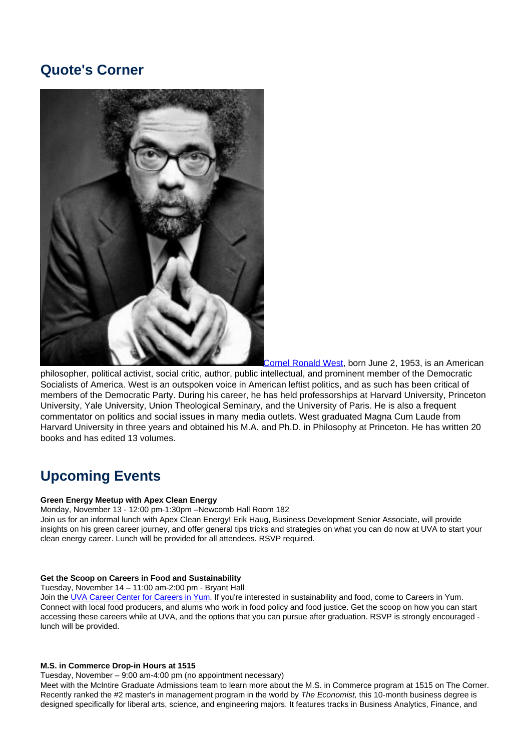# **Quote's Corner**



Cornel Ronald West, born June 2, 1953, is an American philosopher, political activist, social critic, author, public intellectual, and prominent member of the Democratic Socialists of America. West is an outspoken voice in American leftist politics, and as such has been critical of members of the Democratic Party. During his career, he has held professorships at Harvard University, Princeton University, Yale University, Union Theological Seminary, and the University of Paris. He is also a frequent commentator on politics and social issues in many media outlets. West graduated Magna Cum Laude from Harvard University in three years and obtained his M.A. and Ph.D. in Philosophy at Princeton. He has written 20 books and has edited 13 volumes.

# **Upcoming Events**

#### **Green Energy Meetup with Apex Clean Energy**

Monday, November 13 - 12:00 pm-1:30pm –Newcomb Hall Room 182

Join us for an informal lunch with Apex Clean Energy! Erik Haug, Business Development Senior Associate, will provide insights on his green career journey, and offer general tips tricks and strategies on what you can do now at UVA to start your clean energy career. Lunch will be provided for all attendees. RSVP required.

#### **Get the Scoop on Careers in Food and Sustainability**

Tuesday, November 14 – 11:00 am-2:00 pm - Bryant Hall

Join the UVA Career Center for Careers in Yum. If you're interested in sustainability and food, come to Careers in Yum. Connect with local food producers, and alums who work in food policy and food justice. Get the scoop on how you can start accessing these careers while at UVA, and the options that you can pursue after graduation. RSVP is strongly encouraged lunch will be provided.

#### **M.S. in Commerce Drop-in Hours at 1515**

Tuesday, November – 9:00 am-4:00 pm (no appointment necessary)

Meet with the McIntire Graduate Admissions team to learn more about the M.S. in Commerce program at 1515 on The Corner. Recently ranked the #2 master's in management program in the world by The Economist, this 10-month business degree is designed specifically for liberal arts, science, and engineering majors. It features tracks in Business Analytics, Finance, and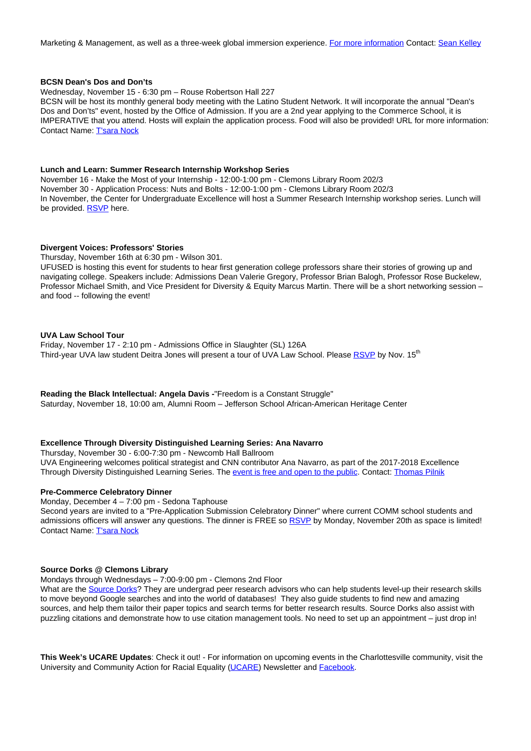Marketing & Management, as well as a three-week global immersion experience. For more information Contact: Sean Kelley

#### **BCSN Dean's Dos and Don'ts**

Wednesday, November 15 - 6:30 pm – Rouse Robertson Hall 227 BCSN will be host its monthly general body meeting with the Latino Student Network. It will incorporate the annual "Dean's Dos and Don'ts" event, hosted by the Office of Admission. If you are a 2nd year applying to the Commerce School, it is IMPERATIVE that you attend. Hosts will explain the application process. Food will also be provided! URL for more information: Contact Name: T'sara Nock

#### **Lunch and Learn: Summer Research Internship Workshop Series**

November 16 - Make the Most of your Internship - 12:00-1:00 pm - Clemons Library Room 202/3 November 30 - Application Process: Nuts and Bolts - 12:00-1:00 pm - Clemons Library Room 202/3 In November, the Center for Undergraduate Excellence will host a Summer Research Internship workshop series. Lunch will be provided. RSVP here.

#### **Divergent Voices: Professors' Stories**

Thursday, November 16th at 6:30 pm - Wilson 301.

UFUSED is hosting this event for students to hear first generation college professors share their stories of growing up and navigating college. Speakers include: Admissions Dean Valerie Gregory, Professor Brian Balogh, Professor Rose Buckelew, Professor Michael Smith, and Vice President for Diversity & Equity Marcus Martin. There will be a short networking session – and food -- following the event!

### **UVA Law School Tour**

Friday, November 17 - 2:10 pm - Admissions Office in Slaughter (SL) 126A Third-year UVA law student Deitra Jones will present a tour of UVA Law School. Please RSVP by Nov. 15<sup>th</sup>

**Reading the Black Intellectual: Angela Davis -**"Freedom is a Constant Struggle" Saturday, November 18, 10:00 am, Alumni Room – Jefferson School African-American Heritage Center

### **Excellence Through Diversity Distinguished Learning Series: Ana Navarro**

Thursday, November 30 - 6:00-7:30 pm - Newcomb Hall Ballroom

UVA Engineering welcomes political strategist and CNN contributor Ana Navarro, as part of the 2017-2018 Excellence Through Diversity Distinguished Learning Series. The event is free and open to the public. Contact: Thomas Pilnik

#### **Pre-Commerce Celebratory Dinner**

Monday, December 4 – 7:00 pm - Sedona Taphouse

Second years are invited to a "Pre-Application Submission Celebratory Dinner" where current COMM school students and admissions officers will answer any questions. The dinner is FREE so RSVP by Monday, November 20th as space is limited! Contact Name: T'sara Nock

#### **Source Dorks @ Clemons Library**

Mondays through Wednesdays – 7:00-9:00 pm - Clemons 2nd Floor

What are the Source Dorks? They are undergrad peer research advisors who can help students level-up their research skills to move beyond Google searches and into the world of databases! They also guide students to find new and amazing sources, and help them tailor their paper topics and search terms for better research results. Source Dorks also assist with puzzling citations and demonstrate how to use citation management tools. No need to set up an appointment – just drop in!

**This Week's UCARE Updates**: Check it out! - For information on upcoming events in the Charlottesville community, visit the University and Community Action for Racial Equality (UCARE) Newsletter and **Facebook**.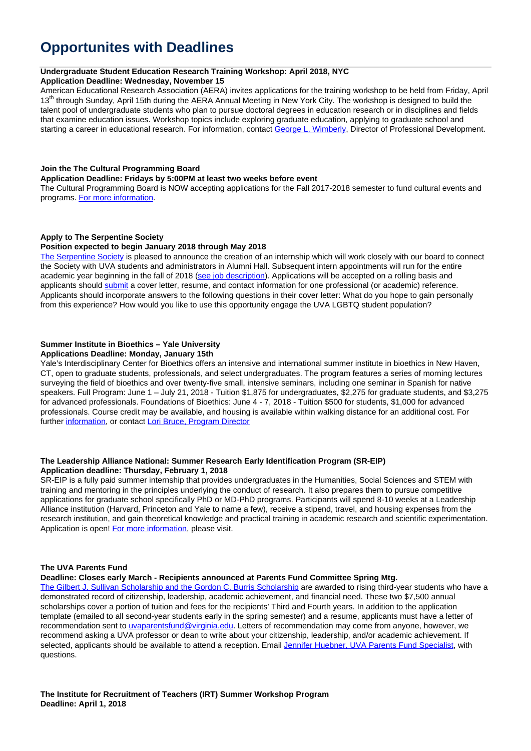# **Opportunites with Deadlines**

#### **Undergraduate Student Education Research Training Workshop: April 2018, NYC**

#### **Application Deadline: Wednesday, November 15**

American Educational Research Association (AERA) invites applications for the training workshop to be held from Friday, April 13<sup>th</sup> through Sunday, April 15th during the AERA Annual Meeting in New York City. The workshop is designed to build the talent pool of undergraduate students who plan to pursue doctoral degrees in education research or in disciplines and fields that examine education issues. Workshop topics include exploring graduate education, applying to graduate school and starting a career in educational research. For information, contact George L. Wimberly, Director of Professional Development.

#### **Join the The Cultural Programming Board**

#### **Application Deadline: Fridays by 5:00PM at least two weeks before event**

The Cultural Programming Board is NOW accepting applications for the Fall 2017-2018 semester to fund cultural events and programs. For more information.

### **Apply to The Serpentine Society**

#### **Position expected to begin January 2018 through May 2018**

The Serpentine Society is pleased to announce the creation of an internship which will work closely with our board to connect the Society with UVA students and administrators in Alumni Hall. Subsequent intern appointments will run for the entire academic year beginning in the fall of 2018 (see job description). Applications will be accepted on a rolling basis and applicants should submit a cover letter, resume, and contact information for one professional (or academic) reference. Applicants should incorporate answers to the following questions in their cover letter: What do you hope to gain personally from this experience? How would you like to use this opportunity engage the UVA LGBTQ student population?

## **Summer Institute in Bioethics – Yale University**

## **Applications Deadline: Monday, January 15th**

Yale's Interdisciplinary Center for Bioethics offers an intensive and international summer institute in bioethics in New Haven, CT, open to graduate students, professionals, and select undergraduates. The program features a series of morning lectures surveying the field of bioethics and over twenty-five small, intensive seminars, including one seminar in Spanish for native speakers. Full Program: June 1 – July 21, 2018 - Tuition \$1,875 for undergraduates, \$2,275 for graduate students, and \$3,275 for advanced professionals. Foundations of Bioethics: June 4 - 7, 2018 - Tuition \$500 for students, \$1,000 for advanced professionals. Course credit may be available, and housing is available within walking distance for an additional cost. For further information, or contact Lori Bruce, Program Director

#### **The Leadership Alliance National: Summer Research Early Identification Program (SR-EIP) Application deadline: Thursday, February 1, 2018**

SR-EIP is a fully paid summer internship that provides undergraduates in the Humanities, Social Sciences and STEM with training and mentoring in the principles underlying the conduct of research. It also prepares them to pursue competitive applications for graduate school specifically PhD or MD-PhD programs. Participants will spend 8-10 weeks at a Leadership Alliance institution (Harvard, Princeton and Yale to name a few), receive a stipend, travel, and housing expenses from the research institution, and gain theoretical knowledge and practical training in academic research and scientific experimentation. Application is open! For more information, please visit.

#### **The UVA Parents Fund**

#### **Deadline: Closes early March - Recipients announced at Parents Fund Committee Spring Mtg.**

The Gilbert J. Sullivan Scholarship and the Gordon C. Burris Scholarship are awarded to rising third-year students who have a demonstrated record of citizenship, leadership, academic achievement, and financial need. These two \$7,500 annual scholarships cover a portion of tuition and fees for the recipients' Third and Fourth years. In addition to the application template (emailed to all second-year students early in the spring semester) and a resume, applicants must have a letter of recommendation sent to uvaparentsfund@virginia.edu. Letters of recommendation may come from anyone, however, we recommend asking a UVA professor or dean to write about your citizenship, leadership, and/or academic achievement. If selected, applicants should be available to attend a reception. Email Jennifer Huebner, UVA Parents Fund Specialist, with questions.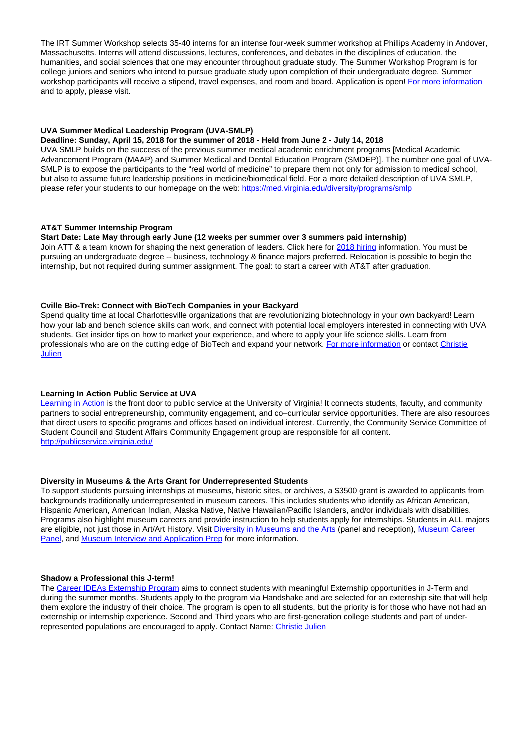The IRT Summer Workshop selects 35-40 interns for an intense four-week summer workshop at Phillips Academy in Andover, Massachusetts. Interns will attend discussions, lectures, conferences, and debates in the disciplines of education, the humanities, and social sciences that one may encounter throughout graduate study. The Summer Workshop Program is for college juniors and seniors who intend to pursue graduate study upon completion of their undergraduate degree. Summer workshop participants will receive a stipend, travel expenses, and room and board. Application is open! For more information and to apply, please visit.

### **UVA Summer Medical Leadership Program (UVA-SMLP)**

#### **Deadline: Sunday, April 15, 2018 for the summer of 2018 - Held from June 2 - July 14, 2018**

UVA SMLP builds on the success of the previous summer medical academic enrichment programs [Medical Academic Advancement Program (MAAP) and Summer Medical and Dental Education Program (SMDEP)]. The number one goal of UVA-SMLP is to expose the participants to the "real world of medicine" to prepare them not only for admission to medical school, but also to assume future leadership positions in medicine/biomedical field. For a more detailed description of UVA SMLP, please refer your students to our homepage on the web: https://med.virginia.edu/diversity/programs/smlp

#### **AT&T Summer Internship Program**

#### **Start Date: Late May through early June (12 weeks per summer over 3 summers paid internship)**

Join ATT & a team known for shaping the next generation of leaders. Click here for 2018 hiring information. You must be pursuing an undergraduate degree -- business, technology & finance majors preferred. Relocation is possible to begin the internship, but not required during summer assignment. The goal: to start a career with AT&T after graduation.

#### **Cville Bio-Trek: Connect with BioTech Companies in your Backyard**

Spend quality time at local Charlottesville organizations that are revolutionizing biotechnology in your own backyard! Learn how your lab and bench science skills can work, and connect with potential local employers interested in connecting with UVA students. Get insider tips on how to market your experience, and where to apply your life science skills. Learn from professionals who are on the cutting edge of BioTech and expand your network. For more information or contact Christie **Julien** 

#### **Learning In Action Public Service at UVA**

Learning in Action is the front door to public service at the University of Virginia! It connects students, faculty, and community partners to social entrepreneurship, community engagement, and co–curricular service opportunities. There are also resources that direct users to specific programs and offices based on individual interest. Currently, the Community Service Committee of Student Council and Student Affairs Community Engagement group are responsible for all content. http://publicservice.virginia.edu/

#### **Diversity in Museums & the Arts Grant for Underrepresented Students**

To support students pursuing internships at museums, historic sites, or archives, a \$3500 grant is awarded to applicants from backgrounds traditionally underrepresented in museum careers. This includes students who identify as African American, Hispanic American, American Indian, Alaska Native, Native Hawaiian/Pacific Islanders, and/or individuals with disabilities. Programs also highlight museum careers and provide instruction to help students apply for internships. Students in ALL majors are eligible, not just those in Art/Art History. Visit Diversity in Museums and the Arts (panel and reception), Museum Career Panel, and Museum Interview and Application Prep for more information.

#### **Shadow a Professional this J-term!**

The Career IDEAs Externship Program aims to connect students with meaningful Externship opportunities in J-Term and during the summer months. Students apply to the program via Handshake and are selected for an externship site that will help them explore the industry of their choice. The program is open to all students, but the priority is for those who have not had an externship or internship experience. Second and Third years who are first-generation college students and part of underrepresented populations are encouraged to apply. Contact Name: Christie Julien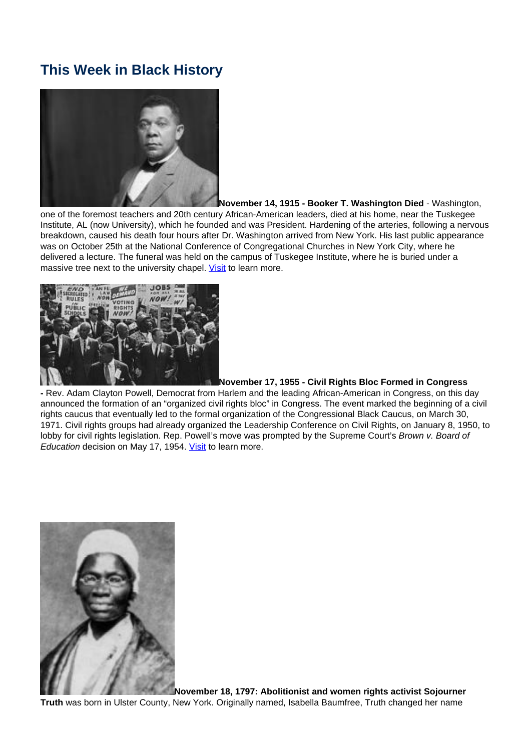# **This Week in Black History**



**November 14, 1915 - Booker T. Washington Died** - Washington, one of the foremost teachers and 20th century African-American leaders, died at his home, near the Tuskegee Institute, AL (now University), which he founded and was President. Hardening of the arteries, following a nervous breakdown, caused his death four hours after Dr. Washington arrived from New York. His last public appearance was on October 25th at the National Conference of Congregational Churches in New York City, where he delivered a lecture. The funeral was held on the campus of Tuskegee Institute, where he is buried under a massive tree next to the university chapel. Visit to learn more.



## **November 17, 1955 - Civil Rights Bloc Formed in Congress**

**-** Rev. Adam Clayton Powell, Democrat from Harlem and the leading African-American in Congress, on this day announced the formation of an "organized civil rights bloc" in Congress. The event marked the beginning of a civil rights caucus that eventually led to the formal organization of the Congressional Black Caucus, on March 30, 1971. Civil rights groups had already organized the Leadership Conference on Civil Rights, on January 8, 1950, to lobby for civil rights legislation. Rep. Powell's move was prompted by the Supreme Court's Brown v. Board of Education decision on May 17, 1954. Visit to learn more.



**November 18, 1797: Abolitionist and women rights activist Sojourner Truth** was born in Ulster County, New York. Originally named, Isabella Baumfree, Truth changed her name